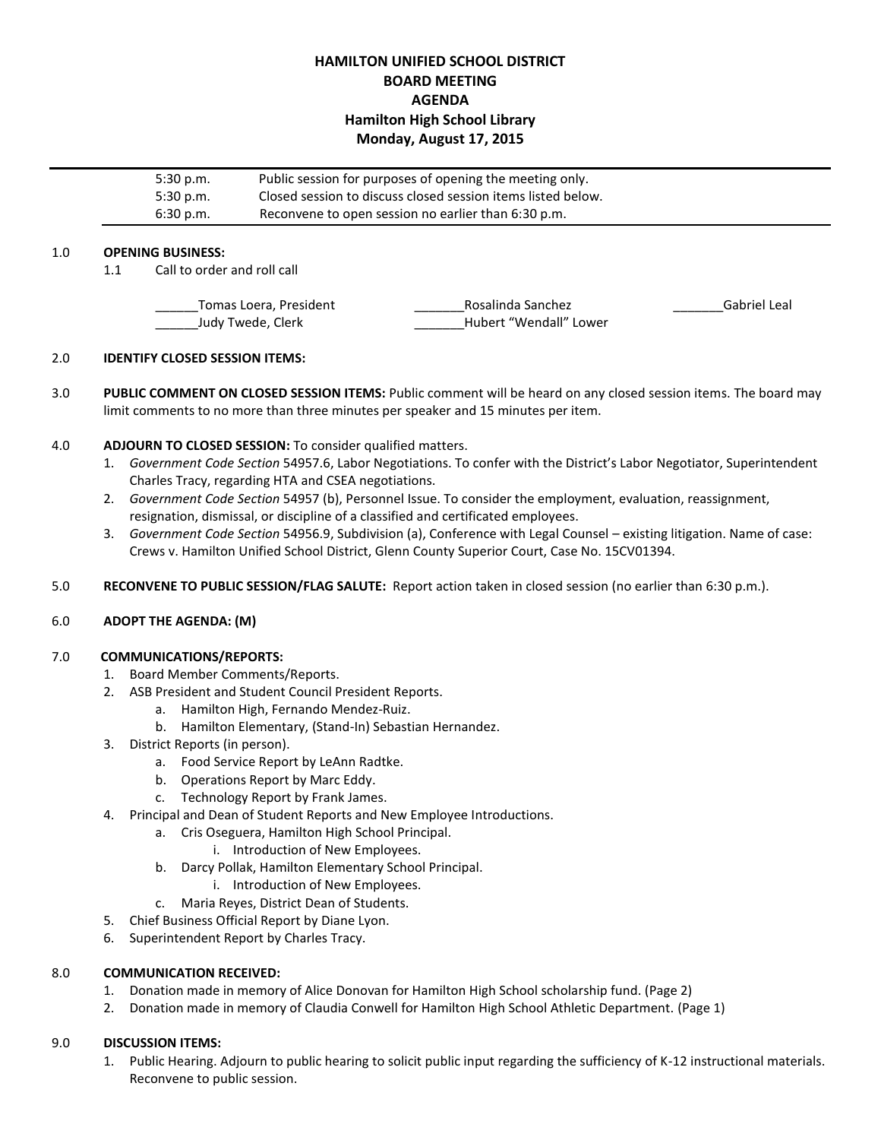# **HAMILTON UNIFIED SCHOOL DISTRICT BOARD MEETING AGENDA Hamilton High School Library Monday, August 17, 2015**

| 5:30 p.m. | Public session for purposes of opening the meeting only.     |
|-----------|--------------------------------------------------------------|
| 5:30 p.m. | Closed session to discuss closed session items listed below. |
| 6:30 p.m. | Reconvene to open session no earlier than 6:30 p.m.          |
|           |                                                              |

## 1.0 **OPENING BUSINESS:**

1.1 Call to order and roll call

| Tomas Loera, President | Rosalinda Sanchez      | Gabriel Leal |
|------------------------|------------------------|--------------|
| Judy Twede, Clerk      | Hubert "Wendall" Lower |              |

## 2.0 **IDENTIFY CLOSED SESSION ITEMS:**

3.0 **PUBLIC COMMENT ON CLOSED SESSION ITEMS:** Public comment will be heard on any closed session items. The board may limit comments to no more than three minutes per speaker and 15 minutes per item.

## 4.0 **ADJOURN TO CLOSED SESSION:** To consider qualified matters.

- 1. *Government Code Section* 54957.6, Labor Negotiations. To confer with the District's Labor Negotiator, Superintendent Charles Tracy, regarding HTA and CSEA negotiations.
- 2. *Government Code Section* 54957 (b), Personnel Issue. To consider the employment, evaluation, reassignment, resignation, dismissal, or discipline of a classified and certificated employees.
- 3. *Government Code Section* 54956.9, Subdivision (a), Conference with Legal Counsel existing litigation. Name of case: Crews v. Hamilton Unified School District, Glenn County Superior Court, Case No. 15CV01394.
- 5.0 **RECONVENE TO PUBLIC SESSION/FLAG SALUTE:** Report action taken in closed session (no earlier than 6:30 p.m.).

# 6.0 **ADOPT THE AGENDA: (M)**

#### 7.0 **COMMUNICATIONS/REPORTS:**

- 1. Board Member Comments/Reports.
- 2. ASB President and Student Council President Reports.
	- a. Hamilton High, Fernando Mendez-Ruiz.
	- b. Hamilton Elementary, (Stand-In) Sebastian Hernandez.
- 3. District Reports (in person).
	- a. Food Service Report by LeAnn Radtke.
	- b. Operations Report by Marc Eddy.
	- c. Technology Report by Frank James.
- 4. Principal and Dean of Student Reports and New Employee Introductions.
	- a. Cris Oseguera, Hamilton High School Principal.
		- i. Introduction of New Employees.
	- b. Darcy Pollak, Hamilton Elementary School Principal.
		- i. Introduction of New Employees.
	- c. Maria Reyes, District Dean of Students.
- 5. Chief Business Official Report by Diane Lyon.
- 6. Superintendent Report by Charles Tracy.

#### 8.0 **COMMUNICATION RECEIVED:**

- 1. Donation made in memory of Alice Donovan for Hamilton High School scholarship fund. (Page 2)
- 2. Donation made in memory of Claudia Conwell for Hamilton High School Athletic Department. (Page 1)

## 9.0 **DISCUSSION ITEMS:**

1. Public Hearing. Adjourn to public hearing to solicit public input regarding the sufficiency of K-12 instructional materials. Reconvene to public session.